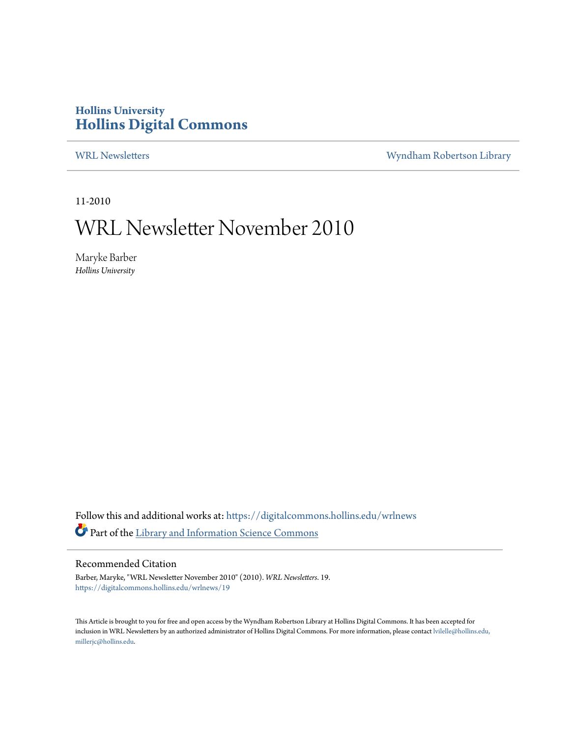## **Hollins University [Hollins Digital Commons](https://digitalcommons.hollins.edu?utm_source=digitalcommons.hollins.edu%2Fwrlnews%2F19&utm_medium=PDF&utm_campaign=PDFCoverPages)**

[WRL Newsletters](https://digitalcommons.hollins.edu/wrlnews?utm_source=digitalcommons.hollins.edu%2Fwrlnews%2F19&utm_medium=PDF&utm_campaign=PDFCoverPages) **[Wyndham Robertson Library](https://digitalcommons.hollins.edu/wrl?utm_source=digitalcommons.hollins.edu%2Fwrlnews%2F19&utm_medium=PDF&utm_campaign=PDFCoverPages)** 

11-2010

## WRL Newsletter November 2010

Maryke Barber *Hollins University*

Follow this and additional works at: [https://digitalcommons.hollins.edu/wrlnews](https://digitalcommons.hollins.edu/wrlnews?utm_source=digitalcommons.hollins.edu%2Fwrlnews%2F19&utm_medium=PDF&utm_campaign=PDFCoverPages) Part of the [Library and Information Science Commons](http://network.bepress.com/hgg/discipline/1018?utm_source=digitalcommons.hollins.edu%2Fwrlnews%2F19&utm_medium=PDF&utm_campaign=PDFCoverPages)

#### Recommended Citation

Barber, Maryke, "WRL Newsletter November 2010" (2010). *WRL Newsletters*. 19. [https://digitalcommons.hollins.edu/wrlnews/19](https://digitalcommons.hollins.edu/wrlnews/19?utm_source=digitalcommons.hollins.edu%2Fwrlnews%2F19&utm_medium=PDF&utm_campaign=PDFCoverPages)

This Article is brought to you for free and open access by the Wyndham Robertson Library at Hollins Digital Commons. It has been accepted for inclusion in WRL Newsletters by an authorized administrator of Hollins Digital Commons. For more information, please contact [lvilelle@hollins.edu,](mailto:lvilelle@hollins.edu,%20millerjc@hollins.edu) [millerjc@hollins.edu.](mailto:lvilelle@hollins.edu,%20millerjc@hollins.edu)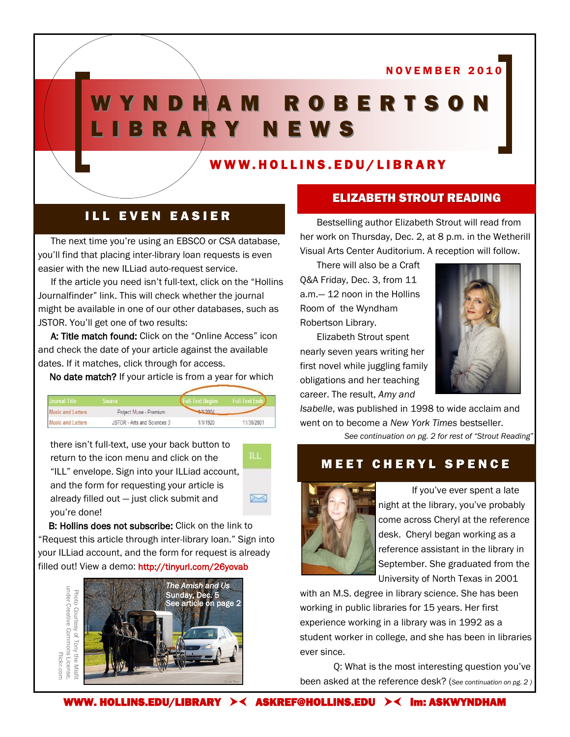N O V E M B E R 2 0 1 0

# W Y N D H A M R O B E R T S O N L I B R A R Y N E W S

### WWW.HOLLINS.EDU/LIBRARY

## **ILL EVEN EASIER**

The next time you're using an EBSCO or CSA database, you'll find that placing inter-library loan requests is even easier with the new ILLiad auto-request service.

If the article you need isn't full-text, click on the "Hollins Journalfinder" link. This will check whether the journal might be available in one of our other databases, such as JSTOR. You'll get one of two results:

A: Title match found: Click on the "Online Access" icon and check the date of your article against the available dates. If it matches, click through for access.

No date match? If your article is from a year for which

| irnal Liflo              | source                      |          |            |
|--------------------------|-----------------------------|----------|------------|
| <b>Music and Letters</b> | Project Muse - Premium      | 4/1/2004 |            |
| <b>Music and Letters</b> | JSTOR - Arts and Sciences 3 | 1/1/1920 | 11/30/2001 |

there isn't full-text, use your back button to return to the icon menu and click on the "ILL" envelope. Sign into your ILLiad account, and the form for requesting your article is already filled out — just click submit and you're done!



B: Hollins does not subscribe: Click on the link to "Request this article through inter-library loan." Sign into your ILLiad account, and the form for request is already filled out! View a demo: http://tinyurl.com/26yovab



#### ELIZABETH STROUT READING

Bestselling author Elizabeth Strout will read from her work on Thursday, Dec. 2, at 8 p.m. in the Wetherill Visual Arts Center Auditorium. A reception will follow.

There will also be a Craft Q&A Friday, Dec. 3, from 11 a.m.— 12 noon in the Hollins Room of the Wyndham Robertson Library.

Elizabeth Strout spent nearly seven years writing her first novel while juggling family obligations and her teaching career. The result, *Amy and* 



*Isabelle*, was published in 1998 to wide acclaim and went on to become a *New York Times* bestseller.

*See continuation on pg. 2 for rest of "Strout Reading"*

## **MEET CHERYL SPENCE**



If you've ever spent a late night at the library, you've probably come across Cheryl at the reference desk. Cheryl began working as a reference assistant in the library in September. She graduated from the University of North Texas in 2001

with an M.S. degree in library science. She has been working in public libraries for 15 years. Her first experience working in a library was in 1992 as a student worker in college, and she has been in libraries ever since.

Q: What is the most interesting question you've been asked at the reference desk? (*See continuation on pg. 2 )*